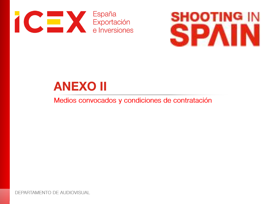



# **ANEXO II**

Medios convocados y condiciones de contratación

DEPARTAMENTO DE AUDIOVISUAL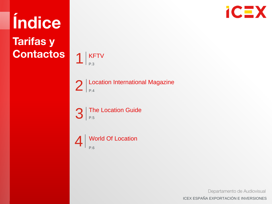

**Tarifas y Contactos** 

Índice



 $2$  Location International Magazine

 $3$  The Location Guide



Departamento de Audiovisual ICEX ESPAÑA EXPORTACIÓN E INVERSIONES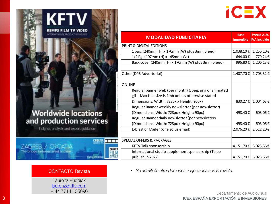

| <b>MODALIDAD PUBLICITARIA</b>                                          | <b>Base</b><br><b>Imponible</b> | Precio 21%<br><b>IVA</b> incluido |
|------------------------------------------------------------------------|---------------------------------|-----------------------------------|
| <b>PRINT &amp; DIGITAL EDITIONS</b>                                    |                                 |                                   |
| 1 pag. (240mm (H) x 170mm (W) plus 3mm bleed)                          | 1.038,10€                       | 1.256,10€                         |
| 1/2 Pg. (107mm (H) x 145mm (W))                                        | 644,00€                         | 779,24€                           |
| Back cover (240mm (H) x 170mm (W) plus 3mm bleed)                      | 996,80€                         | 1.206,13€                         |
| Other (DPS Advertorial)                                                | 1.407,70€                       | 1.703,32€                         |
| <b>ONLINE</b>                                                          |                                 |                                   |
| Regular banner web (per month) (Jpeg, png or animated                  |                                 |                                   |
| gif   Max fi le size is 1mb unless otherwise stated                    |                                 |                                   |
| Dimensions: Width: 728px x Height: 90px)                               | 830,27€                         | 1.004,63€                         |
| Regular Banner weekly newsletter (per newsletter)                      |                                 |                                   |
| (Dimensions: Width: 728px x Height: 90px)                              | 498,40€                         | 603,06€                           |
| Regular Banner daily newsletter (per newsletter)                       |                                 |                                   |
| (Dimensions: Width: 728px x Height: 90px)                              | 498,40€                         | 603,06€                           |
| E-blast or Mailer (one solus email)                                    | 2.076,20€                       | 2.512,20€                         |
| <b>SPECIAL OFFERS &amp; PACKAGES</b>                                   |                                 |                                   |
| <b>KFTV Talk sponsorship</b>                                           | 4.151,70€                       | 5.023,56€                         |
| International studio supplement sponsorship (To be<br>publish in 2022) |                                 | 4.151,70 € 5.023,56 €             |

· Se admitirán otros tamaños negociados con la revista.

Departamento de Audiovisual 3 ICEX ESPAÑA EXPORTACIÓN E INVERSIONES

### **Worldwide locations** and production services

**KFTV** 

**KEMPS FILM TV** INTERNATIONAL PRODUCTION GUIDE

Insights, analysis and expert guidance

**ZAGREB / CROAT** 

The bridge between west and eas

**CROATIA DOG** 

**BRAFFING MAIL III** 

#### **CONTACTO Revista**

Laurenz Puddick laurenz@kftv.com +44 7714 135090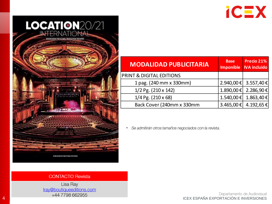



| <b>MODALIDAD PUBLICITARIA</b>       | <b>Base</b> | Precio 21%<br>Imponible   IVA incluido |
|-------------------------------------|-------------|----------------------------------------|
| <b>PRINT &amp; DIGITAL EDITIONS</b> |             |                                        |
| 1 pag. (240 mm x 330 mm)            |             | 2.940,00 € 3.557,40 €                  |
| 1/2 Pg. (210 x 142)                 |             | 1.890,00 € 2.286,90 €                  |
| $1/4$ Pg. (210 x 68)                |             | 1.540,00 € 1.863,40 €                  |
| Back Cover (240mm x 330mm           |             | 3.465,00 € 4.192,65 €                  |

· Se admitirán otros tamaños negociados con la revista.

#### **CONTACTO Revista**

Lisa Ray Iray@boutiqueeditions.com

En al de Audiovisual<br>44 1798 662955 HAT 7798 662955 HAT 1798 662955 HAT 1798 662955 HAT 1998 EXPORTACIÓN E INVERSIONES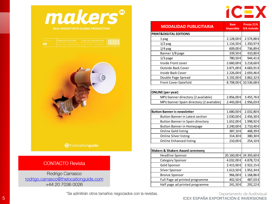



| <b>COMMERCIAL AND INCOME.</b> | <b>CRYING OUT FOR CREW</b>                                                                                                                                                | LAST CALL FOR INDIE FILM?                                                        | _____________ |
|-------------------------------|---------------------------------------------------------------------------------------------------------------------------------------------------------------------------|----------------------------------------------------------------------------------|---------------|
|                               | . As him and drama production I monetered foaturis pattle for<br><b>Freezot, Porticle &amp; Continued Richard Littletic Exclusive, Process at the State Hillstock and</b> | ,我们也不能在这里,我们也不能在这里的时候,我们也不能在这里的时候,我们也不能会在这里的时候,我们也不能会在这里的时候,我们也不能会在这里的时候,我们也不能会在 |               |



**A**thelocationguide

#### **CONTACTO Revista**

Rodrigo Carrasco rodrigo.carrasco@thelocationguide.com +44 20 7036 0026

| <b>MODALIDAD PUBLICITARIA</b>              | <b>Base</b><br><b>Imponible</b> | Precio 21%<br><b>IVA incluido</b> |
|--------------------------------------------|---------------------------------|-----------------------------------|
| <b>PRINT&amp;DIGITAL EDITIONS</b>          |                                 |                                   |
| 1 pag                                      | 2.128,00€                       | 2.574,88€                         |
| $1/2$ pag                                  | 1.116,50€                       | 1.350,97€                         |
| $1/4$ pag                                  | 609,00€                         | 736,89€                           |
| Banner 1/8 page                            | 339,50€                         | 410,80€                           |
| $1/3$ page                                 | 780,50€                         | 944,41€                           |
| Inside Front cover                         | 2.660,00€                       | 3.218,60€                         |
| <b>Outside Back Cover</b>                  | 3.871,00€                       | 4.683,91€                         |
| <b>Inside Back Cover</b>                   | 2.226,00€                       | 2.693,46€                         |
| Double Page Spread                         | 3.192,00€                       | 3.862,32€                         |
| <b>Front Cover Gatefold</b>                | 8.708,00€                       | 10.536,68€                        |
| <b>ONLINE</b> (per year)                   |                                 |                                   |
| MPU banner directory (2 available)         | 2.856,00€                       | 3.455,76€                         |
| MPU banner Spain directory (2 available)   | 2.443,00€                       | 2.956,03€                         |
| <b>Button Banner in newsletter</b>         | 1.680,00€                       | 2.032,80€                         |
| <b>Button Banner in Latest section</b>     | 2.030,00€                       | 2.456,30€                         |
| Button Banner in Spain directory           | 1.652,00€                       | 1.998,92€                         |
| <b>Button Banner in Homepage</b>           | 2.240,00€                       | 2.710,40€                         |
| Online Gold listing                        | 387,10€                         | 468,39€                           |
| <b>Online Silver listing</b>               | 314,30€                         | 380,30€                           |
| <b>Online Enhanced listing</b>             | 210,00€                         | 254,10€                           |
| <b>Makers &amp; Shakers Award ceremony</b> |                                 |                                   |
| <b>Headline Sponsor</b>                    |                                 | 20.160,00 € 24.393,60 €           |
| Category Sponsor                           | 4.032,00€                       | 4.878,72€                         |
| Gold Sponsor                               | 2.415,00 €                      | 2.922,15€                         |
| Silver Sponsor                             | 1.613,50€                       | 1.952,34€                         |
| <b>Bronze Sponsor</b>                      | 966,00€                         | 1.168,86€                         |
| Full Page ad printed programme             | 402,50€                         | 487,03€                           |
| Half page ad printed programme             | 241,50€                         | 292,22€                           |

\*Se admitirán otros tamaños negociados con la revistas.